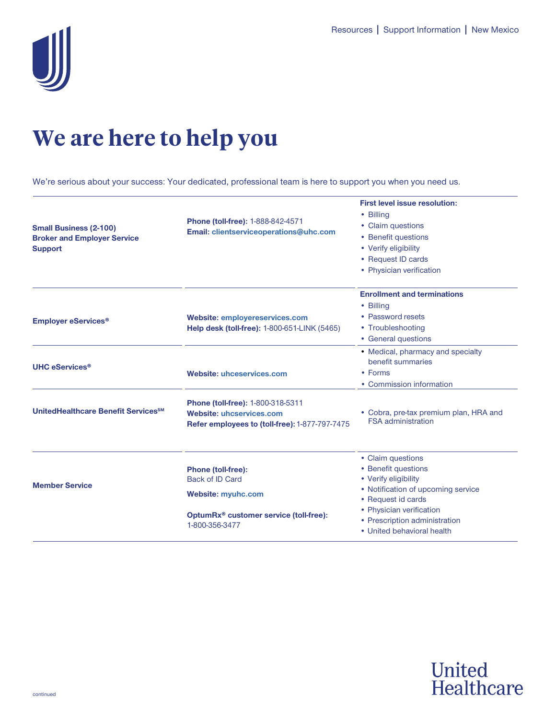

## **We are here to help you**

We're serious about your success: Your dedicated, professional team is here to support you when you need us.

| <b>Small Business (2-100)</b><br><b>Broker and Employer Service</b><br><b>Support</b> | Phone (toll-free): 1-888-842-4571<br>Email: clientserviceoperations@uhc.com                                                                       | <b>First level issue resolution:</b><br>• Billina<br>• Claim questions<br>• Benefit questions<br>• Verify eligibility<br>• Request ID cards<br>• Physician verification                                                 |
|---------------------------------------------------------------------------------------|---------------------------------------------------------------------------------------------------------------------------------------------------|-------------------------------------------------------------------------------------------------------------------------------------------------------------------------------------------------------------------------|
| <b>Employer eServices<sup>®</sup></b>                                                 | <b>Website: employereservices.com</b><br>Help desk (toll-free): 1-800-651-LINK (5465)                                                             | <b>Enrollment and terminations</b><br>• Billing<br>• Password resets<br>• Troubleshooting<br>• General questions                                                                                                        |
| <b>UHC eServices<sup>®</sup></b>                                                      | <b>Website: uhceservices.com</b>                                                                                                                  | • Medical, pharmacy and specialty<br>benefit summaries<br>• Forms<br>• Commission information                                                                                                                           |
| UnitedHealthcare Benefit Services <sup>SM</sup>                                       | Phone (toll-free): 1-800-318-5311<br><b>Website: uhcservices.com</b><br>Refer employees to (toll-free): 1-877-797-7475                            | • Cobra, pre-tax premium plan, HRA and<br><b>FSA</b> administration                                                                                                                                                     |
| <b>Member Service</b>                                                                 | Phone (toll-free):<br><b>Back of ID Card</b><br><b>Website: myuhc.com</b><br>OptumRx <sup>®</sup> customer service (toll-free):<br>1-800-356-3477 | • Claim questions<br>• Benefit questions<br>• Verify eligibility<br>• Notification of upcoming service<br>• Request id cards<br>• Physician verification<br>• Prescription administration<br>• United behavioral health |